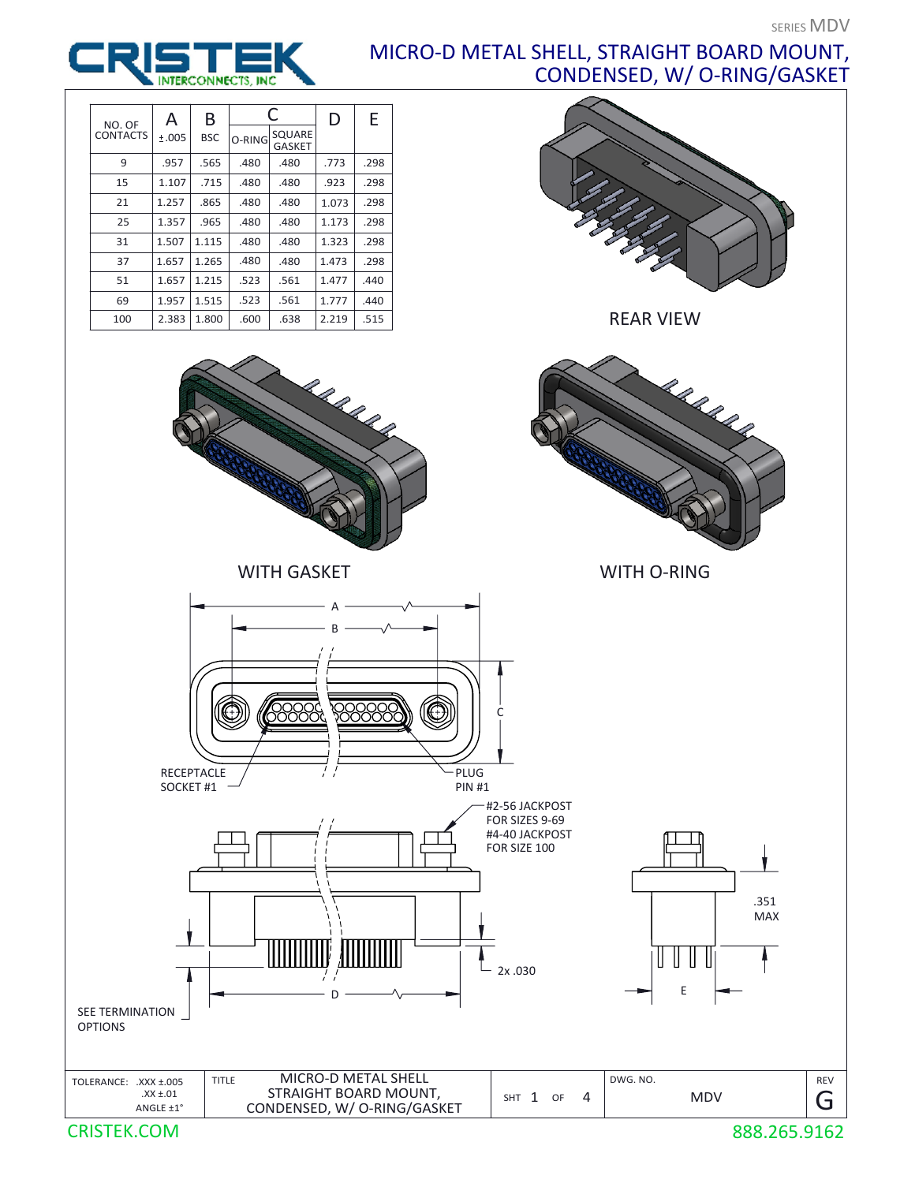## MICRO-D METAL SHELL, STRAIGHT BOARD MOUNT, CONDENSED, W/ O-RING/GASKET



| NO. OF          | А     | B          | C      |                         | D     | E    |
|-----------------|-------|------------|--------|-------------------------|-------|------|
| <b>CONTACTS</b> | ±.005 | <b>BSC</b> | O-RING | SQUARE<br><b>GASKET</b> |       |      |
| 9               | .957  | .565       | .480   | .480                    | .773  | .298 |
| 15              | 1.107 | .715       | .480   | .480                    | .923  | .298 |
| 21              | 1.257 | .865       | .480   | .480                    | 1.073 | .298 |
| 25              | 1.357 | .965       | .480   | .480                    | 1.173 | .298 |
| 31              | 1.507 | 1.115      | .480   | .480                    | 1.323 | .298 |
| 37              | 1.657 | 1.265      | .480   | .480                    | 1.473 | .298 |
| 51              | 1.657 | 1.215      | .523   | .561                    | 1.477 | .440 |
| 69              | 1.957 | 1.515      | .523   | .561                    | 1.777 | .440 |
| 100             | 2.383 | 1.800      | .600   | .638                    | 2.219 | .515 |



REAR VIEW



CRISTEK.COM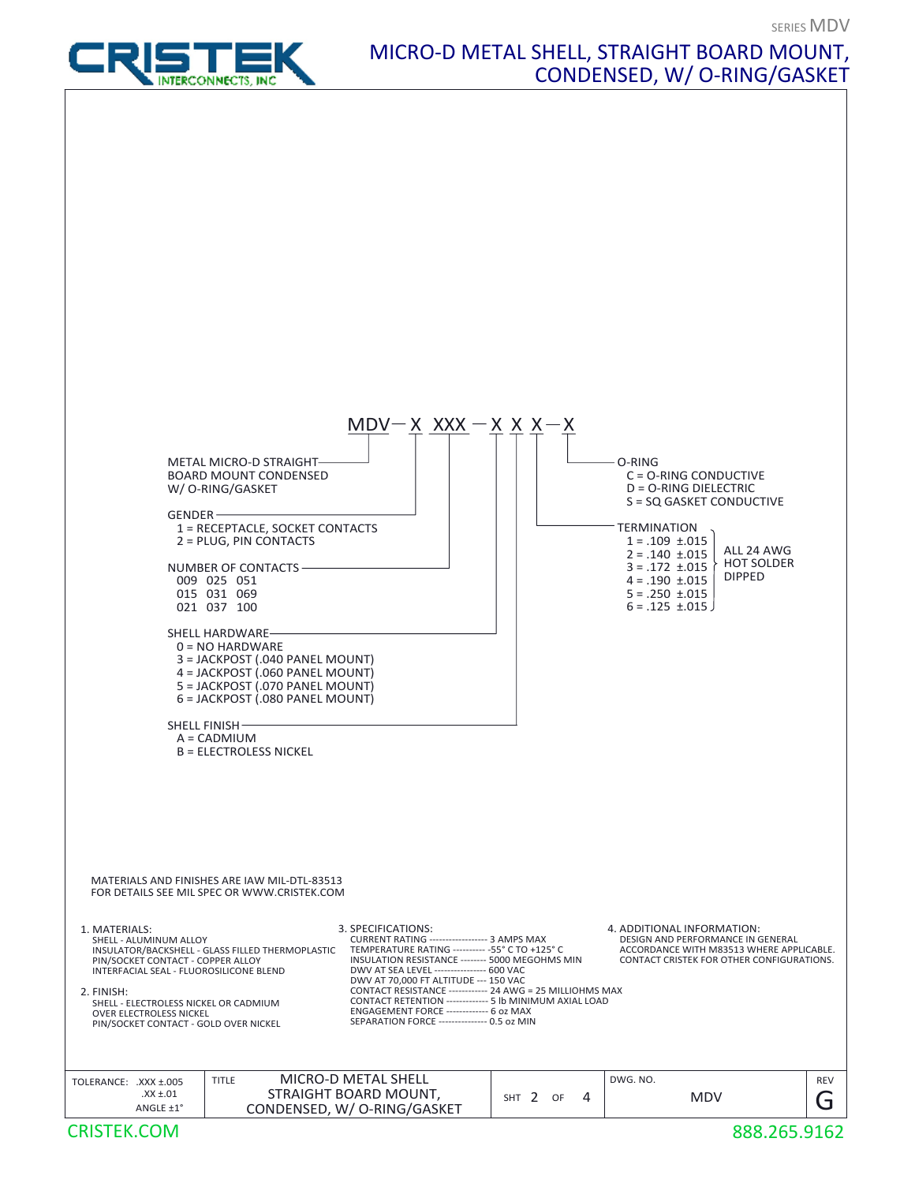

## MICRO-D METAL SHELL, STRAIGHT BOARD MOUNT, CONDENSED, W/ O-RING/GASKET

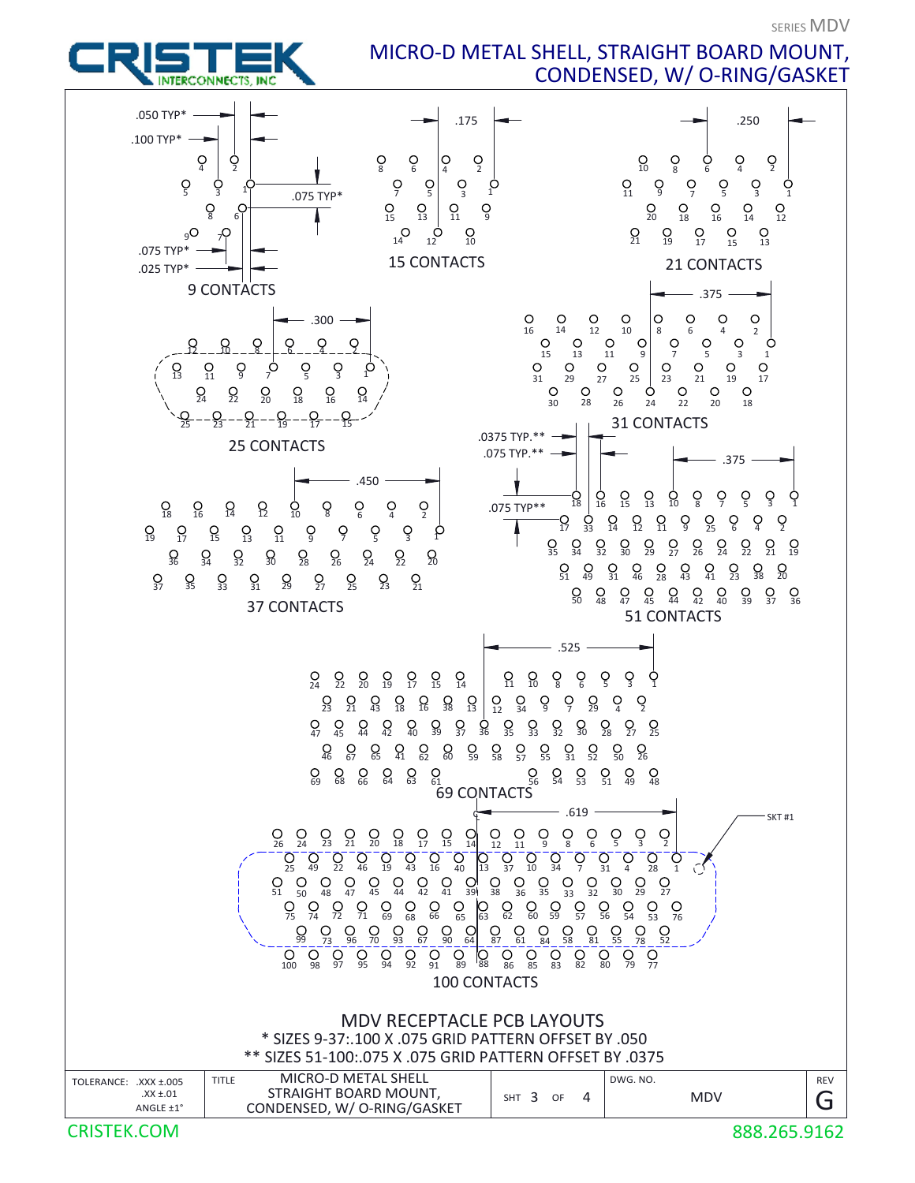SERIES MDV

MICRO-D METAL SHELL, STRAIGHT BOARD MOUNT, CONDENSED, W/ O-RING/GASKET